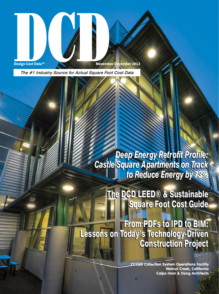

Design Cost Data<sup>m</sup><br>Design Cost Data<sup>m</sup><br>November-December 2012

The #1 Industry Source for Actual Square Foot Cost Data

*Deep Energy Retrofit Profile: Castle Square Apartments on Track to Reduce Energy by 73% to Reduce Energy by 73% Deep Energy Retrofit Profile: Castle Square Apartments on Track* 

> The DCD LEED® & Sustainable The DCD LEED® & Sustainable Square Foot Cost Guide Square Foot Cost Guide

From PDFs to IPD to BIM: From PDFs to IPD to BIM: Lessons on Today's Technology-Driven Lessons on Today's Technology-Driven Construction Project Construction Project

> **CCCSD Collection System Operations Facility Walnut Creek, California Calpo Hom & Dong Architects**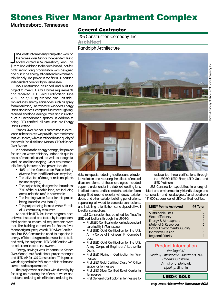# Stones River Manor Apartment Complex

## Murfreesboro, Tennessee

## General Contractor

J&S Construction Company, Inc.

Architect

Randolph Architecture

8.5 Construction recently completed work on<br>the Stones River Manor Independent Living<br>Facility located in Murfreesboro, Tenn. This<br>\$1.2 million addition to the faith-based, not-for-&S Construction recently completed work on the Stones River Manor Independent Living Facility located in Murfreesboro, Tenn. This profit senior living organization was designed and built to be energy efficient and environmentally friendly. The project is the first LEED certified independent care facility in Tennessee.

J&S Construction designed and built the project to meet LEED for Homes requirements and received LEED Gold Certification June 2012. The 7,500 square-foot, nine-unit addition includes energy efficiencies such as spray foam insulation, Energy Star® windows, Energy Star® appliances, compact fluorescent lighting, reduced envelope leakage rates and insulated duct in unconditioned spaces. In addition to being LEED certified, all nine units are Energy Star® Certified.

"Stones River Manor is committed to excellence in the services we provide, a commitment that J&S shares, which is reflected in the quality of their work," said Kirkland Mason, CEO of Stones River Manor.

In addition to the energy savings, the project focused on water efficiency, indoor air quality, types of materials used, as well as thoughtful land use and landscaping. Other environmentally friendly features of the project include:

- 40% of the Construction Waste being diverted from landfill and was recycled;
- The utilization of drought-resistant plants for landscaping;
- The project being designed so that at least 70% of the buildable land, not including area under the roof, is permeable;
- The framing waste factor for this project being limited to less than 10;
- This project being located within 1/2 mile of 14 community resources.

As part of the LEED for Homes program, each unit was inspected and tested by independent third parties to ensure all requirements were met. The building committee for Stones River Manor originally requested LEED Silver Certification, but J&S Construction used its expertise in energy-efficient design and construction to build and certify the project as LEED Gold Certified with no additional costs to the owners.

"Energy savings was important to Stones River Manor," said Brad Leimer, project manager and LEED AP for J&S Construction. "This project was designed to be 29% more efficient than the current code requirements."

The project was also built with durability by focusing on reducing the effects of water and moisture, reducing air infiltration, reducing the





• This project being located within 1/2 mile and installing rafter tie hurricane clips at all wall **LEED<sup>®</sup> Points Achieved 49 Total** risks from pests, reducing heat loss and ultraviolet radiation and reducing the effects of natural disasters. Some of these strategies included vapor retarder under the slab, exhausting fans in all bathrooms and kitchen to the exterior, foam being filled around exterior windows, exterior doors and other exterior building penetrations, separating all wood to concrete connections, to rafter connections.

> J&S Construction has obtained five "firsts" in LEED certifications through the USGBC:

- First LEED Certification for an independent care facility in Tennessee
- First LEED Gold Certification for the U.S. Army Corps of Engineers' Ft. Campbell base
- First LEED Gold Certification for the U.S. Army Corps of Engineers' Louisville **District**
- First LEED Platinum Certification for Tennessee
- First LEED Gold Certified Class "A" Office Space for Tennessee •
- First LEED Silver Certified Retail Center in Tennessee
- First General Contractor in Tennessee to



recieve top three certifications through the USGBC: LEED Silver, LEED Gold and LEED Platinum.

J&S Construction specializes in energy efficient and environmentally friendly design and construction and has designed/constructed over 131,000 square feet of LEED certified facilities.

| <b>LEED<sup>®</sup> Points Achieved</b> | 49 Total |  |  |
|-----------------------------------------|----------|--|--|
| Sustainable Sites                       | 12       |  |  |
| <b>Water Efficiency</b>                 | 7        |  |  |
| Energy & Atmosphere                     | 4        |  |  |
| <b>Material &amp; Resources</b>         | 6        |  |  |
| <b>Indoor Environmental Quality</b>     | 10       |  |  |
| <b>Innovative Design</b>                | 6        |  |  |
| <b>Regional Priority</b>                |          |  |  |

## Product Information

Roofing: GAF Window, Entrances & Storefronts: YKK Flooring: Crossville, Armstrong, Mohawk Lighting: Lithonia

LEED® GOLD